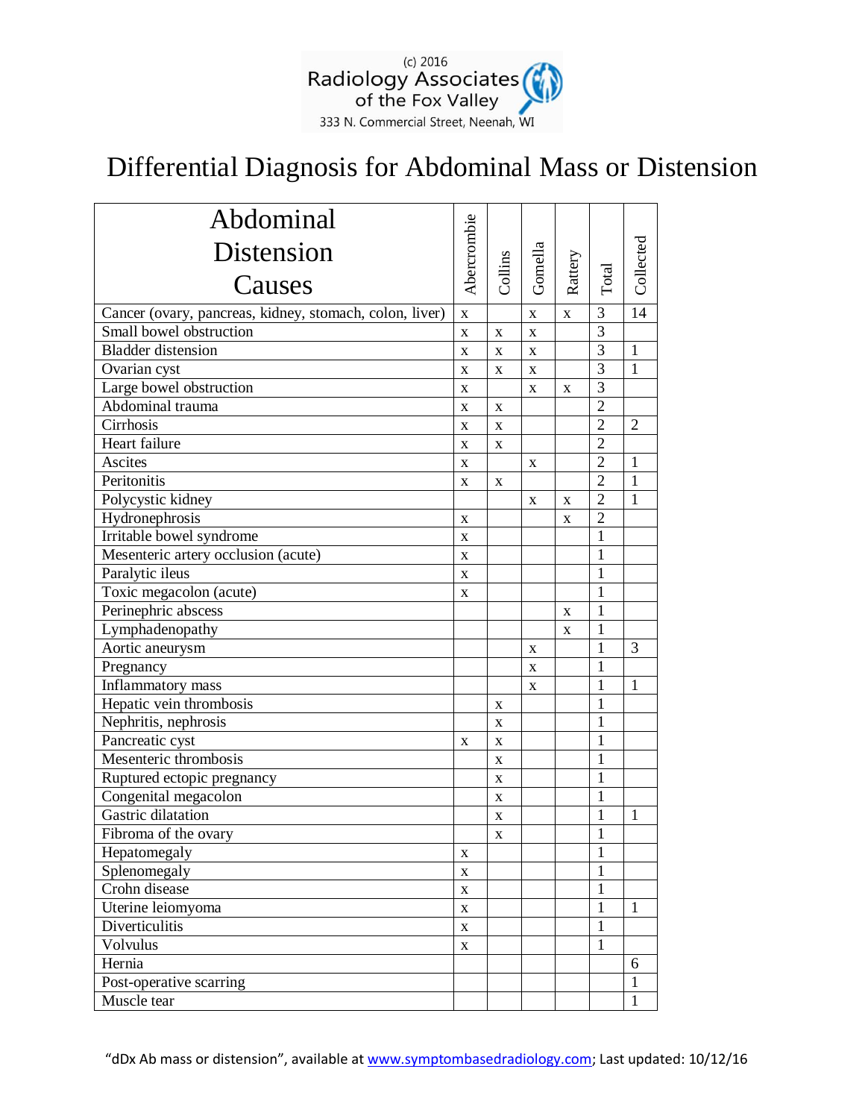

## Differential Diagnosis for Abdominal Mass or Distension

| Abdominal                                               |                    |                    |             |             |                |                 |
|---------------------------------------------------------|--------------------|--------------------|-------------|-------------|----------------|-----------------|
| Distension                                              | Abercrombie        |                    | Gomella     |             |                | Collected       |
| Causes                                                  |                    | Collins            |             | Rattery     | Total          |                 |
| Cancer (ovary, pancreas, kidney, stomach, colon, liver) | $\mathbf X$        |                    | $\mathbf X$ | $\mathbf X$ | 3              | $\overline{14}$ |
| Small bowel obstruction                                 | $\mathbf X$        | $\mathbf X$        | $\mathbf X$ |             | $\overline{3}$ |                 |
| <b>Bladder</b> distension                               | $\bar{\mathbf{X}}$ | X                  | X           |             | 3              | $\mathbf{1}$    |
| Ovarian cyst                                            | X                  | X                  | X           |             | $\overline{3}$ | $\mathbf{1}$    |
| Large bowel obstruction                                 | $\mathbf X$        |                    | X           | X           | $\overline{3}$ |                 |
| Abdominal trauma                                        | X                  | $\mathbf X$        |             |             | $\overline{2}$ |                 |
| Cirrhosis                                               | $\mathbf X$        | $\mathbf X$        |             |             | $\overline{2}$ | $\overline{2}$  |
| Heart failure                                           | $\mathbf X$        | X                  |             |             | $\overline{2}$ |                 |
| Ascites                                                 | X                  |                    | X           |             | $\overline{2}$ | $\mathbf{1}$    |
| Peritonitis                                             | X                  | $\mathbf X$        |             |             | $\overline{2}$ | $\mathbf{1}$    |
| Polycystic kidney                                       |                    |                    | $\mathbf X$ | X           | $\overline{2}$ | 1               |
| Hydronephrosis                                          | X                  |                    |             | X           | $\overline{2}$ |                 |
| Irritable bowel syndrome                                | X                  |                    |             |             | $\mathbf{1}$   |                 |
| Mesenteric artery occlusion (acute)                     | $\bf{X}$           |                    |             |             | $\mathbf{1}$   |                 |
| Paralytic ileus                                         | X                  |                    |             |             | 1              |                 |
| Toxic megacolon (acute)                                 | X                  |                    |             |             | $\mathbf{1}$   |                 |
| Perinephric abscess                                     |                    |                    |             | X           | 1              |                 |
| Lymphadenopathy                                         |                    |                    |             | X           | $\mathbf{1}$   |                 |
| Aortic aneurysm                                         |                    |                    | X           |             | 1              | 3               |
| Pregnancy                                               |                    |                    | X           |             | 1              |                 |
| Inflammatory mass                                       |                    |                    | X           |             | $\mathbf{1}$   | 1               |
| Hepatic vein thrombosis                                 |                    | X                  |             |             | $\mathbf{1}$   |                 |
| Nephritis, nephrosis                                    |                    | X                  |             |             | $\mathbf{1}$   |                 |
| Pancreatic cyst                                         | X                  | X                  |             |             | 1              |                 |
| Mesenteric thrombosis                                   |                    | X                  |             |             | $\mathbf{1}$   |                 |
| Ruptured ectopic pregnancy                              |                    | $\mathbf X$        |             |             | $\mathbf{1}$   |                 |
| Congenital megacolon                                    |                    | $\mathbf X$        |             |             | $\mathbf{1}$   |                 |
| Gastric dilatation                                      |                    | X                  |             |             | 1              | $\mathbf{1}$    |
| Fibroma of the ovary                                    |                    | $\bar{\mathbf{X}}$ |             |             | $\mathbf{1}$   |                 |
| Hepatomegaly                                            | X                  |                    |             |             | 1              |                 |
| Splenomegaly                                            | $\mathbf X$        |                    |             |             | 1              |                 |
| Crohn disease                                           | $\mathbf X$        |                    |             |             | $\mathbf{1}$   |                 |
| Uterine leiomyoma                                       | $\mathbf X$        |                    |             |             | 1              | 1               |
| Diverticulitis                                          | $\mathbf X$        |                    |             |             | $\mathbf{1}$   |                 |
| Volvulus                                                | X                  |                    |             |             | 1              |                 |
| Hernia                                                  |                    |                    |             |             |                | 6               |
| Post-operative scarring                                 |                    |                    |             |             |                | 1               |
| Muscle tear                                             |                    |                    |             |             |                | $\mathbf{1}$    |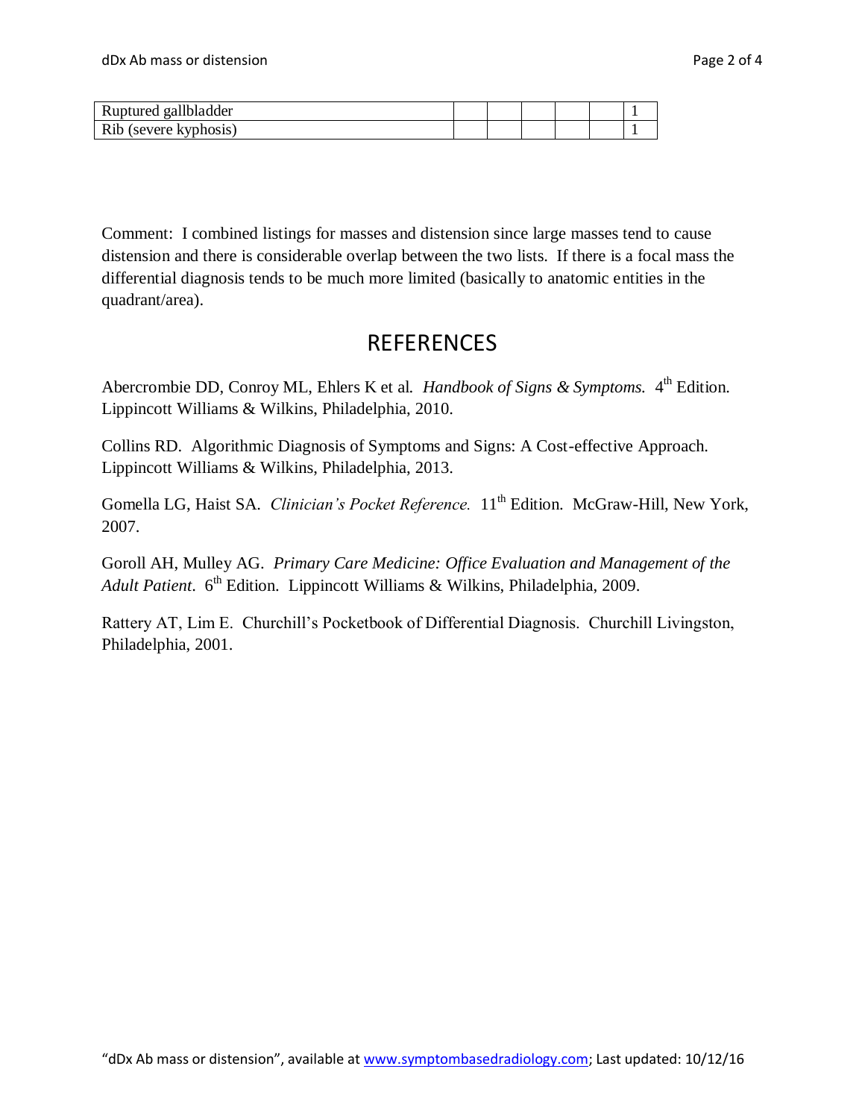| Ruptured gallbladder  |  |  |  |
|-----------------------|--|--|--|
| Rib (severe kyphosis) |  |  |  |

Comment: I combined listings for masses and distension since large masses tend to cause distension and there is considerable overlap between the two lists. If there is a focal mass the differential diagnosis tends to be much more limited (basically to anatomic entities in the quadrant/area).

## REFERENCES

Abercrombie DD, Conroy ML, Ehlers K et al. *Handbook of Signs & Symptoms*. 4<sup>th</sup> Edition. Lippincott Williams & Wilkins, Philadelphia, 2010.

Collins RD. Algorithmic Diagnosis of Symptoms and Signs: A Cost-effective Approach. Lippincott Williams & Wilkins, Philadelphia, 2013.

Gomella LG, Haist SA. *Clinician's Pocket Reference*.  $11<sup>th</sup>$  Edition. McGraw-Hill, New York. 2007.

Goroll AH, Mulley AG. *Primary Care Medicine: Office Evaluation and Management of the Adult Patient.* 6<sup>th</sup> Edition. Lippincott Williams & Wilkins, Philadelphia, 2009.

Rattery AT, Lim E. Churchill's Pocketbook of Differential Diagnosis. Churchill Livingston, Philadelphia, 2001.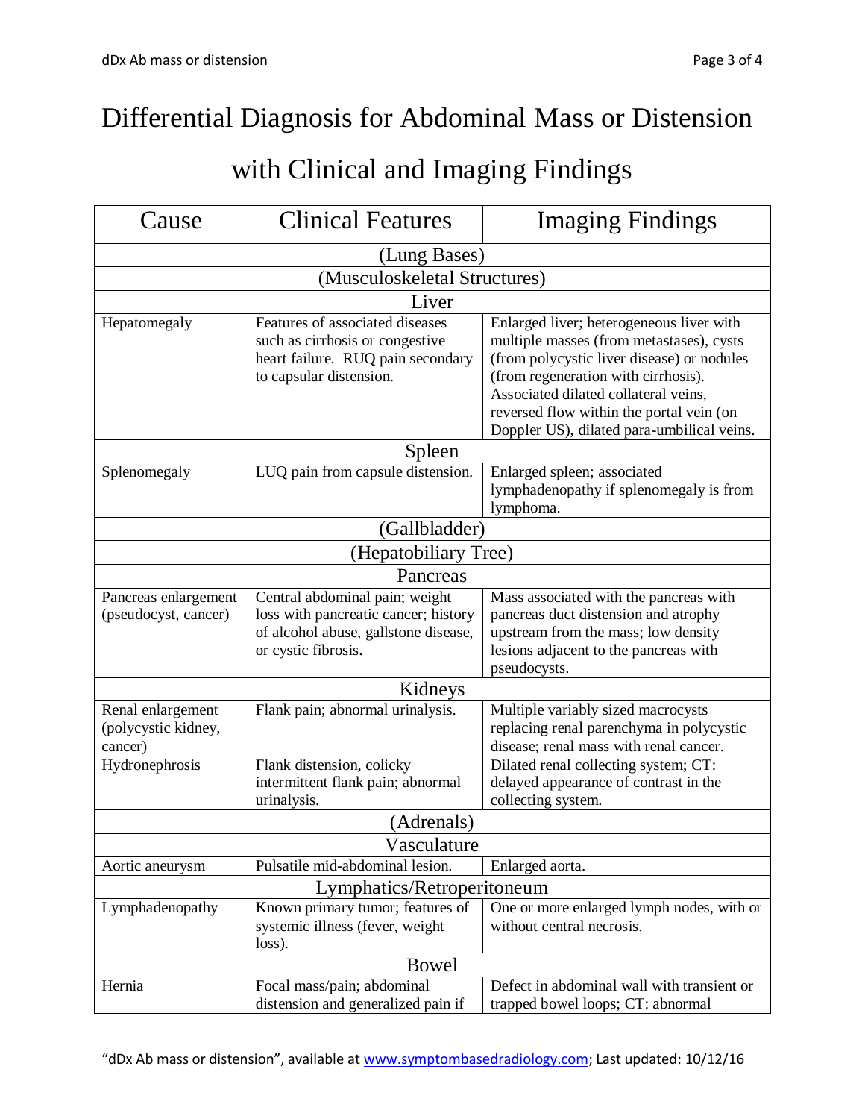## Differential Diagnosis for Abdominal Mass or Distension

## with Clinical and Imaging Findings

| Cause                                               | <b>Clinical Features</b>                                                                                                              | <b>Imaging Findings</b>                                                                                                                                                                                                                                                                                     |  |  |  |
|-----------------------------------------------------|---------------------------------------------------------------------------------------------------------------------------------------|-------------------------------------------------------------------------------------------------------------------------------------------------------------------------------------------------------------------------------------------------------------------------------------------------------------|--|--|--|
| (Lung Bases)                                        |                                                                                                                                       |                                                                                                                                                                                                                                                                                                             |  |  |  |
| (Musculoskeletal Structures)                        |                                                                                                                                       |                                                                                                                                                                                                                                                                                                             |  |  |  |
|                                                     | Liver                                                                                                                                 |                                                                                                                                                                                                                                                                                                             |  |  |  |
| Hepatomegaly                                        | Features of associated diseases<br>such as cirrhosis or congestive<br>heart failure. RUQ pain secondary<br>to capsular distension.    | Enlarged liver; heterogeneous liver with<br>multiple masses (from metastases), cysts<br>(from polycystic liver disease) or nodules<br>(from regeneration with cirrhosis).<br>Associated dilated collateral veins,<br>reversed flow within the portal vein (on<br>Doppler US), dilated para-umbilical veins. |  |  |  |
| Spleen                                              |                                                                                                                                       |                                                                                                                                                                                                                                                                                                             |  |  |  |
| Splenomegaly                                        | LUQ pain from capsule distension.                                                                                                     | Enlarged spleen; associated<br>lymphadenopathy if splenomegaly is from<br>lymphoma.                                                                                                                                                                                                                         |  |  |  |
| (Gallbladder)                                       |                                                                                                                                       |                                                                                                                                                                                                                                                                                                             |  |  |  |
| (Hepatobiliary Tree)                                |                                                                                                                                       |                                                                                                                                                                                                                                                                                                             |  |  |  |
|                                                     | Pancreas                                                                                                                              |                                                                                                                                                                                                                                                                                                             |  |  |  |
| Pancreas enlargement<br>(pseudocyst, cancer)        | Central abdominal pain; weight<br>loss with pancreatic cancer; history<br>of alcohol abuse, gallstone disease,<br>or cystic fibrosis. | Mass associated with the pancreas with<br>pancreas duct distension and atrophy<br>upstream from the mass; low density<br>lesions adjacent to the pancreas with<br>pseudocysts.                                                                                                                              |  |  |  |
| Kidneys                                             |                                                                                                                                       |                                                                                                                                                                                                                                                                                                             |  |  |  |
| Renal enlargement<br>(polycystic kidney,<br>cancer) | Flank pain; abnormal urinalysis.                                                                                                      | Multiple variably sized macrocysts<br>replacing renal parenchyma in polycystic<br>disease; renal mass with renal cancer.                                                                                                                                                                                    |  |  |  |
| Hydronephrosis                                      | Flank distension, colicky<br>intermittent flank pain; abnormal<br>urinalysis.                                                         | Dilated renal collecting system; CT:<br>delayed appearance of contrast in the<br>collecting system.                                                                                                                                                                                                         |  |  |  |
| (Adrenals)                                          |                                                                                                                                       |                                                                                                                                                                                                                                                                                                             |  |  |  |
|                                                     | Vasculature<br>Pulsatile mid-abdominal lesion.                                                                                        | Enlarged aorta.                                                                                                                                                                                                                                                                                             |  |  |  |
|                                                     | Aortic aneurysm<br>Lymphatics/Retroperitoneum                                                                                         |                                                                                                                                                                                                                                                                                                             |  |  |  |
| Lymphadenopathy                                     | Known primary tumor; features of<br>systemic illness (fever, weight<br>loss).                                                         | One or more enlarged lymph nodes, with or<br>without central necrosis.                                                                                                                                                                                                                                      |  |  |  |
| Bowel                                               |                                                                                                                                       |                                                                                                                                                                                                                                                                                                             |  |  |  |
| Hernia                                              | Focal mass/pain; abdominal<br>distension and generalized pain if                                                                      | Defect in abdominal wall with transient or<br>trapped bowel loops; CT: abnormal                                                                                                                                                                                                                             |  |  |  |